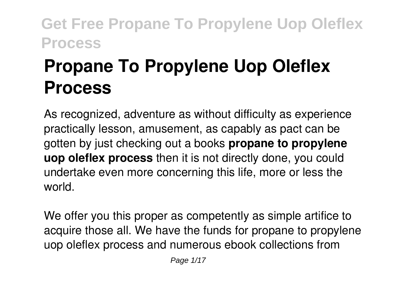# **Propane To Propylene Uop Oleflex Process**

As recognized, adventure as without difficulty as experience practically lesson, amusement, as capably as pact can be gotten by just checking out a books **propane to propylene uop oleflex process** then it is not directly done, you could undertake even more concerning this life, more or less the world.

We offer you this proper as competently as simple artifice to acquire those all. We have the funds for propane to propylene uop oleflex process and numerous ebook collections from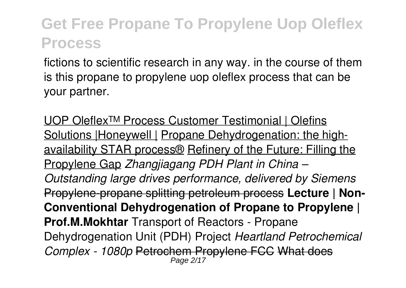fictions to scientific research in any way. in the course of them is this propane to propylene uop oleflex process that can be your partner.

UOP Oleflex™ Process Customer Testimonial | Olefins Solutions | Honeywell | Propane Dehydrogenation: the highavailability STAR process® Refinery of the Future: Filling the Propylene Gap *Zhangjiagang PDH Plant in China – Outstanding large drives performance, delivered by Siemens* Propylene-propane splitting petroleum process **Lecture | Non-Conventional Dehydrogenation of Propane to Propylene | Prof.M.Mokhtar** Transport of Reactors - Propane Dehydrogenation Unit (PDH) Project *Heartland Petrochemical Complex - 1080p* Petrochem Propylene FCC What does Page 2/17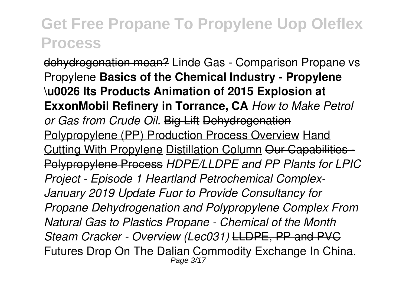dehydrogenation mean? Linde Gas - Comparison Propane vs Propylene **Basics of the Chemical Industry - Propylene \u0026 Its Products Animation of 2015 Explosion at ExxonMobil Refinery in Torrance, CA** *How to Make Petrol or Gas from Crude Oil.* Big Lift Dehydrogenation Polypropylene (PP) Production Process Overview Hand Cutting With Propylene Distillation Column Our Capabilities - Polypropylene Process *HDPE/LLDPE and PP Plants for LPIC Project - Episode 1 Heartland Petrochemical Complex-January 2019 Update Fuor to Provide Consultancy for Propane Dehydrogenation and Polypropylene Complex From Natural Gas to Plastics Propane - Chemical of the Month Steam Cracker - Overview (Lec031)* LLDPE, PP and PVC Futures Drop On The Dalian Commodity Exchange In China. Page 3/17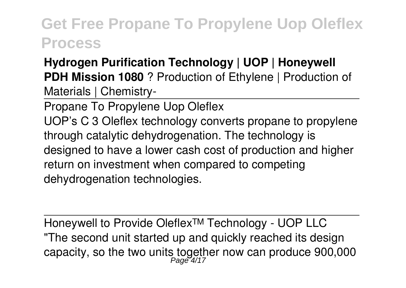#### **Hydrogen Purification Technology | UOP | Honeywell PDH Mission 1080** ? Production of Ethylene | Production of Materials | Chemistry-

Propane To Propylene Uop Oleflex UOP's C 3 Oleflex technology converts propane to propylene through catalytic dehydrogenation. The technology is designed to have a lower cash cost of production and higher return on investment when compared to competing dehydrogenation technologies.

Honeywell to Provide Oleflex™ Technology - UOP LLC "The second unit started up and quickly reached its design capacity, so the two units together now can produce 900,000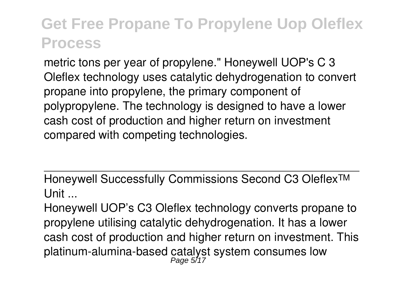metric tons per year of propylene." Honeywell UOP's C 3 Oleflex technology uses catalytic dehydrogenation to convert propane into propylene, the primary component of polypropylene. The technology is designed to have a lower cash cost of production and higher return on investment compared with competing technologies.

Honeywell Successfully Commissions Second C3 Oleflex™ Unit ...

Honeywell UOP's C3 Oleflex technology converts propane to propylene utilising catalytic dehydrogenation. It has a lower cash cost of production and higher return on investment. This platinum-alumina-based catalyst system consumes low<br>Page 5/17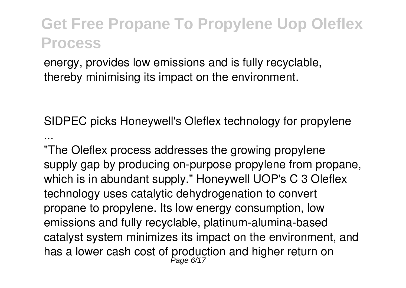energy, provides low emissions and is fully recyclable, thereby minimising its impact on the environment.

SIDPEC picks Honeywell's Oleflex technology for propylene ...

"The Oleflex process addresses the growing propylene supply gap by producing on-purpose propylene from propane, which is in abundant supply." Honeywell UOP's C 3 Oleflex technology uses catalytic dehydrogenation to convert propane to propylene. Its low energy consumption, low emissions and fully recyclable, platinum-alumina-based catalyst system minimizes its impact on the environment, and has a lower cash cost of production and higher return on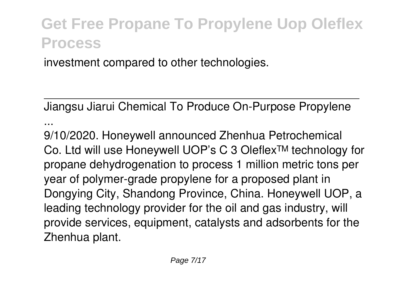investment compared to other technologies.

Jiangsu Jiarui Chemical To Produce On-Purpose Propylene ...

9/10/2020. Honeywell announced Zhenhua Petrochemical Co. Ltd will use Honeywell UOP's C 3 Oleflex™ technology for propane dehydrogenation to process 1 million metric tons per year of polymer-grade propylene for a proposed plant in Dongying City, Shandong Province, China. Honeywell UOP, a leading technology provider for the oil and gas industry, will provide services, equipment, catalysts and adsorbents for the Zhenhua plant.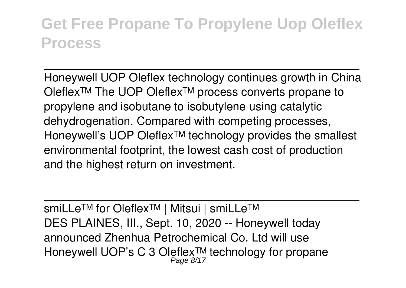Honeywell UOP Oleflex technology continues growth in China Oleflex™ The UOP Oleflex™ process converts propane to propylene and isobutane to isobutylene using catalytic dehydrogenation. Compared with competing processes, Honeywell's UOP Oleflex™ technology provides the smallest environmental footprint, the lowest cash cost of production and the highest return on investment.

smiLLe™ for Oleflex™ | Mitsui | smiLLe™ DES PLAINES, III., Sept. 10, 2020 -- Honeywell today announced Zhenhua Petrochemical Co. Ltd will use Honeywell UOP's C 3 Oleflex™ technology for propane<br>Page 8/17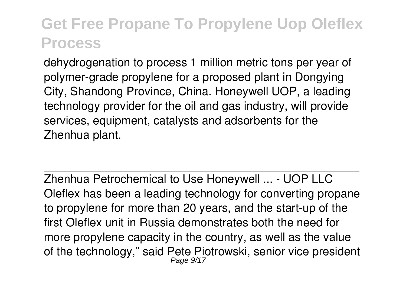dehydrogenation to process 1 million metric tons per year of polymer-grade propylene for a proposed plant in Dongying City, Shandong Province, China. Honeywell UOP, a leading technology provider for the oil and gas industry, will provide services, equipment, catalysts and adsorbents for the Zhenhua plant.

Zhenhua Petrochemical to Use Honeywell ... - UOP LLC Oleflex has been a leading technology for converting propane to propylene for more than 20 years, and the start-up of the first Oleflex unit in Russia demonstrates both the need for more propylene capacity in the country, as well as the value of the technology," said Pete Piotrowski, senior vice president Page 9/17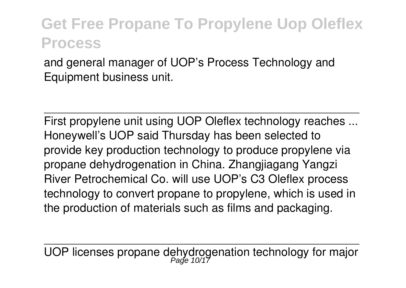and general manager of UOP's Process Technology and Equipment business unit.

First propylene unit using UOP Oleflex technology reaches ... Honeywell's UOP said Thursday has been selected to provide key production technology to produce propylene via propane dehydrogenation in China. Zhangjiagang Yangzi River Petrochemical Co. will use UOP's C3 Oleflex process technology to convert propane to propylene, which is used in the production of materials such as films and packaging.

UOP licenses propane dehydrogenation technology for major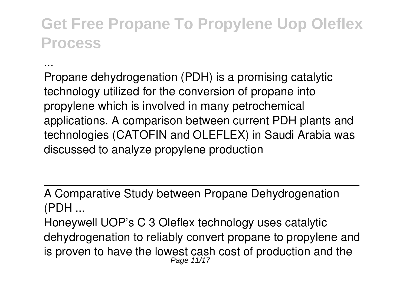Propane dehydrogenation (PDH) is a promising catalytic technology utilized for the conversion of propane into propylene which is involved in many petrochemical applications. A comparison between current PDH plants and technologies (CATOFIN and OLEFLEX) in Saudi Arabia was discussed to analyze propylene production

...

A Comparative Study between Propane Dehydrogenation (PDH ...

Honeywell UOP's C 3 Oleflex technology uses catalytic dehydrogenation to reliably convert propane to propylene and is proven to have the lowest cash cost of production and the Page 11/17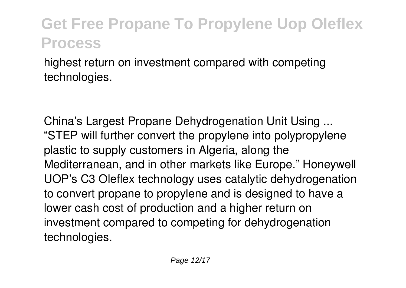highest return on investment compared with competing technologies.

China's Largest Propane Dehydrogenation Unit Using ... "STEP will further convert the propylene into polypropylene plastic to supply customers in Algeria, along the Mediterranean, and in other markets like Europe." Honeywell UOP's C3 Oleflex technology uses catalytic dehydrogenation to convert propane to propylene and is designed to have a lower cash cost of production and a higher return on investment compared to competing for dehydrogenation technologies.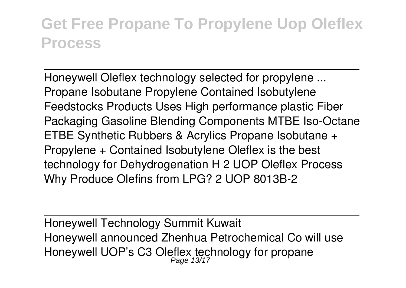Honeywell Oleflex technology selected for propylene ... Propane Isobutane Propylene Contained Isobutylene Feedstocks Products Uses High performance plastic Fiber Packaging Gasoline Blending Components MTBE Iso-Octane ETBE Synthetic Rubbers & Acrylics Propane Isobutane + Propylene + Contained Isobutylene Oleflex is the best technology for Dehydrogenation H 2 UOP Oleflex Process Why Produce Olefins from LPG? 2 UOP 8013B-2

Honeywell Technology Summit Kuwait Honeywell announced Zhenhua Petrochemical Co will use Honeywell UOP's C3 Oleflex technology for propane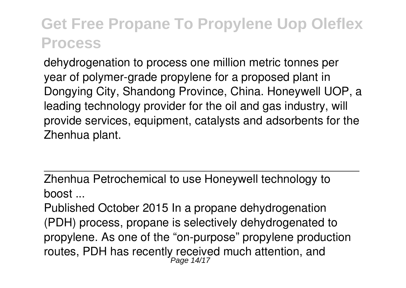dehydrogenation to process one million metric tonnes per year of polymer-grade propylene for a proposed plant in Dongying City, Shandong Province, China. Honeywell UOP, a leading technology provider for the oil and gas industry, will provide services, equipment, catalysts and adsorbents for the Zhenhua plant.

Zhenhua Petrochemical to use Honeywell technology to boost ...

Published October 2015 In a propane dehydrogenation (PDH) process, propane is selectively dehydrogenated to propylene. As one of the "on-purpose" propylene production routes, PDH has recently received much attention, and Page 14/17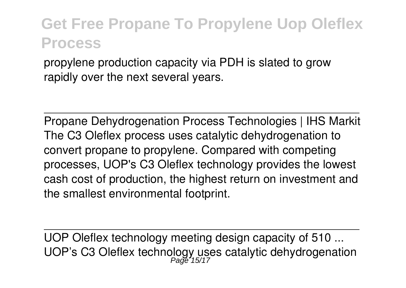propylene production capacity via PDH is slated to grow rapidly over the next several years.

Propane Dehydrogenation Process Technologies | IHS Markit The C3 Oleflex process uses catalytic dehydrogenation to convert propane to propylene. Compared with competing processes, UOP's C3 Oleflex technology provides the lowest cash cost of production, the highest return on investment and the smallest environmental footprint.

UOP Oleflex technology meeting design capacity of 510 ... UOP's C3 Oleflex technology uses catalytic dehydrogenation<br>Page 15/17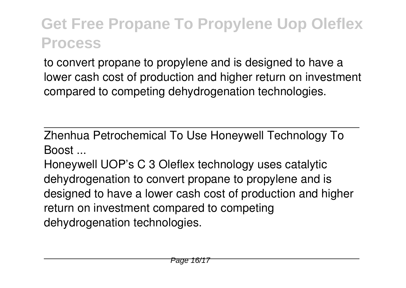to convert propane to propylene and is designed to have a lower cash cost of production and higher return on investment compared to competing dehydrogenation technologies.

Zhenhua Petrochemical To Use Honeywell Technology To Boost ...

Honeywell UOP's C 3 Oleflex technology uses catalytic dehydrogenation to convert propane to propylene and is designed to have a lower cash cost of production and higher return on investment compared to competing dehydrogenation technologies.